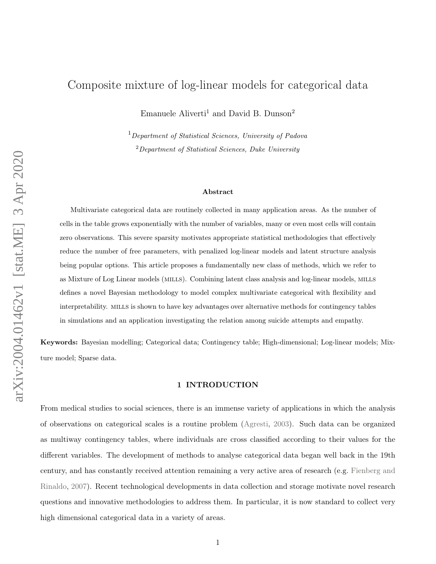# Composite mixture of log-linear models for categorical data

Emanuele Aliverti<sup>1</sup> and David B. Dunson<sup>2</sup>

<sup>1</sup> Department of Statistical Sciences, University of Padova <sup>2</sup>Department of Statistical Sciences, Duke University

#### Abstract

Multivariate categorical data are routinely collected in many application areas. As the number of cells in the table grows exponentially with the number of variables, many or even most cells will contain zero observations. This severe sparsity motivates appropriate statistical methodologies that effectively reduce the number of free parameters, with penalized log-linear models and latent structure analysis being popular options. This article proposes a fundamentally new class of methods, which we refer to as Mixture of Log Linear models (MILLS). Combining latent class analysis and log-linear models, MILLS defines a novel Bayesian methodology to model complex multivariate categorical with flexibility and interpretability. mills is shown to have key advantages over alternative methods for contingency tables in simulations and an application investigating the relation among suicide attempts and empathy.

<span id="page-0-0"></span>Keywords: Bayesian modelling; Categorical data; Contingency table; High-dimensional; Log-linear models; Mixture model; Sparse data.

### 1 INTRODUCTION

From medical studies to social sciences, there is an immense variety of applications in which the analysis of observations on categorical scales is a routine problem [\(Agresti,](#page-18-0) [2003\)](#page-18-0). Such data can be organized as multiway contingency tables, where individuals are cross classified according to their values for the different variables. The development of methods to analyse categorical data began well back in the 19th century, and has constantly received attention remaining a very active area of research (e.g. [Fienberg and](#page-19-0) [Rinaldo,](#page-19-0) [2007\)](#page-19-0). Recent technological developments in data collection and storage motivate novel research questions and innovative methodologies to address them. In particular, it is now standard to collect very high dimensional categorical data in a variety of areas.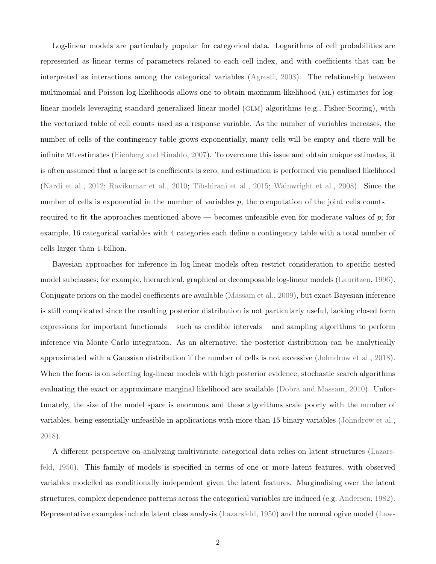Log-linear models are particularly popular for categorical data. Logarithms of cell probabilities are represented as linear terms of parameters related to each cell index, and with coefficients that can be interpreted as interactions among the categorical variables [\(Agresti,](#page-18-0) [2003\)](#page-18-0). The relationship between multinomial and Poisson log-likelihoods allows one to obtain maximum likelihood (ML) estimates for loglinear models leveraging standard generalized linear model (GLM) algorithms (e.g., Fisher-Scoring), with the vectorized table of cell counts used as a response variable. As the number of variables increases, the number of cells of the contingency table grows exponentially, many cells will be empty and there will be infinite ml estimates [\(Fienberg and Rinaldo,](#page-19-0) [2007\)](#page-19-0). To overcome this issue and obtain unique estimates, it is often assumed that a large set is coefficients is zero, and estimation is performed via penalised likelihood [\(Nardi et al.,](#page-21-0) [2012;](#page-21-0) [Ravikumar et al.,](#page-22-0) [2010;](#page-22-0) [Tibshirani et al.,](#page-22-1) [2015;](#page-22-1) [Wainwright et al.,](#page-23-0) [2008\)](#page-23-0). Since the number of cells is exponential in the number of variables  $p$ , the computation of the joint cells counts required to fit the approaches mentioned above — becomes unfeasible even for moderate values of  $p$ ; for example, 16 categorical variables with 4 categories each define a contingency table with a total number of cells larger than 1-billion.

Bayesian approaches for inference in log-linear models often restrict consideration to specific nested model subclasses; for example, hierarchical, graphical or decomposable log-linear models [\(Lauritzen,](#page-20-0) [1996\)](#page-20-0). Conjugate priors on the model coefficients are available [\(Massam et al.,](#page-21-1) [2009\)](#page-21-1), but exact Bayesian inference is still complicated since the resulting posterior distribution is not particularly useful, lacking closed form expressions for important functionals – such as credible intervals – and sampling algorithms to perform inference via Monte Carlo integration. As an alternative, the posterior distribution can be analytically approximated with a Gaussian distribution if the number of cells is not excessive [\(Johndrow et al.,](#page-20-1) [2018\)](#page-20-1). When the focus is on selecting log-linear models with high posterior evidence, stochastic search algorithms evaluating the exact or approximate marginal likelihood are available [\(Dobra and Massam,](#page-19-1) [2010\)](#page-19-1). Unfortunately, the size of the model space is enormous and these algorithms scale poorly with the number of variables, being essentially unfeasible in applications with more than 15 binary variables [\(Johndrow et al.,](#page-20-1) [2018\)](#page-20-1).

A different perspective on analyzing multivariate categorical data relies on latent structures [\(Lazars](#page-20-2)[feld,](#page-20-2) [1950\)](#page-20-2). This family of models is specified in terms of one or more latent features, with observed variables modelled as conditionally independent given the latent features. Marginalising over the latent structures, complex dependence patterns across the categorical variables are induced (e.g. [Andersen,](#page-18-1) [1982\)](#page-18-1). Representative examples include latent class analysis [\(Lazarsfeld,](#page-20-2) [1950\)](#page-20-2) and the normal ogive model [\(Law-](#page-20-3)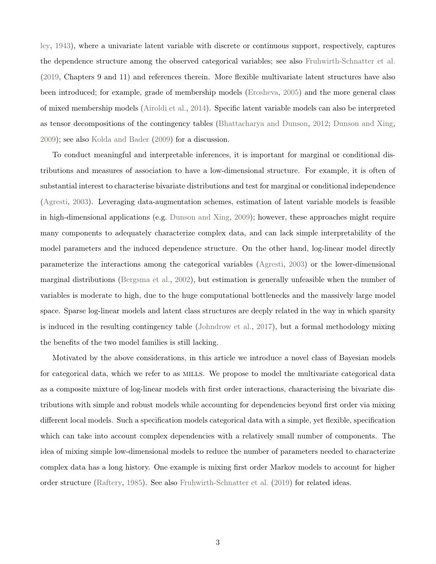[ley,](#page-20-3) [1943\)](#page-20-3), where a univariate latent variable with discrete or continuous support, respectively, captures the dependence structure among the observed categorical variables; see also [Fruhwirth-Schnatter et al.](#page-19-2) [\(2019,](#page-19-2) Chapters 9 and 11) and references therein. More flexible multivariate latent structures have also been introduced; for example, grade of membership models [\(Erosheva,](#page-19-3) [2005\)](#page-19-3) and the more general class of mixed membership models [\(Airoldi et al.,](#page-18-2) [2014\)](#page-18-2). Specific latent variable models can also be interpreted as tensor decompositions of the contingency tables [\(Bhattacharya and Dunson,](#page-18-3) [2012;](#page-18-3) [Dunson and Xing,](#page-19-4) [2009\)](#page-19-4); see also [Kolda and Bader](#page-20-4) [\(2009\)](#page-20-4) for a discussion.

To conduct meaningful and interpretable inferences, it is important for marginal or conditional distributions and measures of association to have a low-dimensional structure. For example, it is often of substantial interest to characterise bivariate distributions and test for marginal or conditional independence [\(Agresti,](#page-18-0) [2003\)](#page-18-0). Leveraging data-augmentation schemes, estimation of latent variable models is feasible in high-dimensional applications (e.g. [Dunson and Xing,](#page-19-4) [2009\)](#page-19-4); however, these approaches might require many components to adequately characterize complex data, and can lack simple interpretability of the model parameters and the induced dependence structure. On the other hand, log-linear model directly parameterize the interactions among the categorical variables [\(Agresti,](#page-18-0) [2003\)](#page-18-0) or the lower-dimensional marginal distributions [\(Bergsma et al.,](#page-18-4) [2002\)](#page-18-4), but estimation is generally unfeasible when the number of variables is moderate to high, due to the huge computational bottlenecks and the massively large model space. Sparse log-linear models and latent class structures are deeply related in the way in which sparsity is induced in the resulting contingency table [\(Johndrow et al.,](#page-20-5) [2017\)](#page-20-5), but a formal methodology mixing the benefits of the two model families is still lacking.

Motivated by the above considerations, in this article we introduce a novel class of Bayesian models for categorical data, which we refer to as MILLS. We propose to model the multivariate categorical data as a composite mixture of log-linear models with first order interactions, characterising the bivariate distributions with simple and robust models while accounting for dependencies beyond first order via mixing different local models. Such a specification models categorical data with a simple, yet flexible, specification which can take into account complex dependencies with a relatively small number of components. The idea of mixing simple low-dimensional models to reduce the number of parameters needed to characterize complex data has a long history. One example is mixing first order Markov models to account for higher order structure [\(Raftery,](#page-22-2) [1985\)](#page-22-2). See also [Fruhwirth-Schnatter et al.](#page-19-2) [\(2019\)](#page-19-2) for related ideas.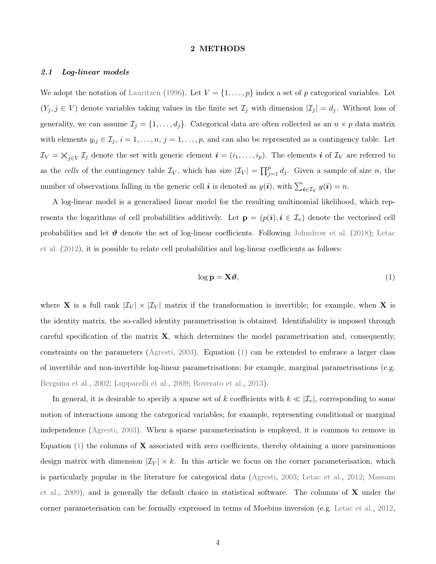### 2 METHODS

### 2.1 Log-linear models

We adopt the notation of [Lauritzen](#page-20-0) [\(1996\)](#page-20-0). Let  $V = \{1, \ldots, p\}$  index a set of p categorical variables. Let  $(Y_j, j \in V)$  denote variables taking values in the finite set  $\mathcal{I}_j$  with dimension  $|\mathcal{I}_j| = d_j$ . Without loss of generality, we can assume  $\mathcal{I}_j = \{1, \ldots, d_j\}$ . Categorical data are often collected as an  $n \times p$  data matrix with elements  $y_{ij} \in \mathcal{I}_j$ ,  $i = 1, \ldots, n$ ,  $j = 1, \ldots, p$ , and can also be represented as a contingency table. Let  $\mathcal{I}_V = \bigtimes_{j \in V} \mathcal{I}_j$  denote the set with generic element  $\mathbf{i} = (i_1, \ldots, i_p)$ . The elements  $\mathbf{i}$  of  $\mathcal{I}_V$  are referred to as the cells of the contingency table  $\mathcal{I}_V$ , which has size  $|\mathcal{I}_V| = \prod_{j=1}^p d_j$ . Given a sample of size n, the number of observations falling in the generic cell *i* is denoted as  $y(i)$ , with  $\sum_{i \in \mathcal{I}_V} y(i) = n$ .

A log-linear model is a generalised linear model for the resulting multinomial likelihood, which represents the logarithms of cell probabilities additively. Let  $\mathbf{p} = (p(i), i \in \mathcal{I}_v)$  denote the vectorised cell probabilities and let  $\vartheta$  denote the set of log-linear coefficients. Following [Johndrow et al.](#page-20-1) [\(2018\)](#page-20-1); [Letac](#page-21-2) [et al.](#page-21-2) [\(2012\)](#page-21-2), it is possible to relate cell probabilities and log-linear coefficients as follows:

<span id="page-3-0"></span>
$$
\log \mathbf{p} = \mathbf{X}\boldsymbol{\vartheta},\tag{1}
$$

where **X** is a full rank  $|\mathcal{I}_V| \times |\mathcal{I}_V|$  matrix if the transformation is invertible; for example, when **X** is the identity matrix, the so-called identity parametrisation is obtained. Identifiability is imposed through careful specification of the matrix  $\mathbf{X}$ , which determines the model parametrisation and, consequently, constraints on the parameters [\(Agresti,](#page-18-0) [2003\)](#page-18-0). Equation [\(1\)](#page-3-0) can be extended to embrace a larger class of invertible and non-invertible log-linear parametrisations; for example, marginal parametrisations (e.g. [Bergsma et al.,](#page-18-4) [2002;](#page-18-4) [Lupparelli et al.,](#page-21-3) [2009;](#page-21-3) [Roverato et al.,](#page-22-3) [2013\)](#page-22-3).

In general, it is desirable to specify a sparse set of k coefficients with  $k \ll |\mathcal{I}_v|$ , corresponding to some notion of interactions among the categorical variables; for example, representing conditional or marginal independence [\(Agresti,](#page-18-0) [2003\)](#page-18-0). When a sparse parameterisation is employed, it is common to remove in Equation  $(1)$  the columns of **X** associated with zero coefficients, thereby obtaining a more parsimonious design matrix with dimension  $|\mathcal{I}_V| \times k$ . In this article we focus on the corner parameterisation, which is particularly popular in the literature for categorical data [\(Agresti,](#page-18-0) [2003;](#page-18-0) [Letac et al.,](#page-21-2) [2012;](#page-21-2) [Massam](#page-21-1) [et al.,](#page-21-1) [2009\)](#page-21-1), and is generally the default choice in statistical software. The columns of  $\bf{X}$  under the corner parameterisation can be formally expressed in terms of Moebius inversion (e.g. [Letac et al.,](#page-21-2) [2012,](#page-21-2)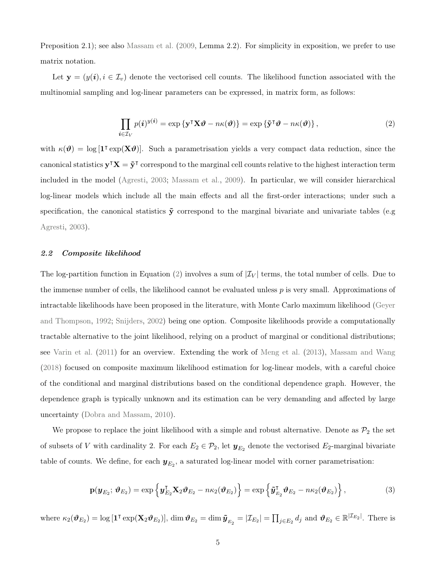Preposition 2.1); see also [Massam et al.](#page-21-1) [\(2009,](#page-21-1) Lemma 2.2). For simplicity in exposition, we prefer to use matrix notation.

Let  $y = (y(i), i \in I_v)$  denote the vectorised cell counts. The likelihood function associated with the multinomial sampling and log-linear parameters can be expressed, in matrix form, as follows:

<span id="page-4-0"></span>
$$
\prod_{i \in \mathcal{I}_V} p(i)^{y(i)} = \exp \{ \mathbf{y}^\mathsf{T} \mathbf{X} \boldsymbol{\vartheta} - n\kappa(\boldsymbol{\vartheta}) \} = \exp \{ \tilde{\mathbf{y}}^\mathsf{T} \boldsymbol{\vartheta} - n\kappa(\boldsymbol{\vartheta}) \},\tag{2}
$$

with  $\kappa(\theta) = \log \left[1^{\dagger} \exp(\mathbf{X}\theta)\right]$ . Such a parametrisation yields a very compact data reduction, since the canonical statistics  $y^{\dagger}X = \tilde{y}^{\dagger}$  correspond to the marginal cell counts relative to the highest interaction term included in the model [\(Agresti,](#page-18-0) [2003;](#page-18-0) [Massam et al.,](#page-21-1) [2009\)](#page-21-1). In particular, we will consider hierarchical log-linear models which include all the main effects and all the first-order interactions; under such a specification, the canonical statistics  $\tilde{y}$  correspond to the marginal bivariate and univariate tables (e.g. [Agresti,](#page-18-0) [2003\)](#page-18-0).

### <span id="page-4-2"></span>2.2 Composite likelihood

The log-partition function in Equation [\(2\)](#page-4-0) involves a sum of  $|\mathcal{I}_V|$  terms, the total number of cells. Due to the immense number of cells, the likelihood cannot be evaluated unless  $p$  is very small. Approximations of intractable likelihoods have been proposed in the literature, with Monte Carlo maximum likelihood [\(Geyer](#page-19-5) [and Thompson,](#page-19-5) [1992;](#page-19-5) [Snijders,](#page-22-4) [2002\)](#page-22-4) being one option. Composite likelihoods provide a computationally tractable alternative to the joint likelihood, relying on a product of marginal or conditional distributions; see [Varin et al.](#page-23-1) [\(2011\)](#page-23-1) for an overview. Extending the work of [Meng et al.](#page-21-4) [\(2013\)](#page-21-4), [Massam and Wang](#page-21-5) [\(2018\)](#page-21-5) focused on composite maximum likelihood estimation for log-linear models, with a careful choice of the conditional and marginal distributions based on the conditional dependence graph. However, the dependence graph is typically unknown and its estimation can be very demanding and affected by large uncertainty [\(Dobra and Massam,](#page-19-1) [2010\)](#page-19-1).

We propose to replace the joint likelihood with a simple and robust alternative. Denote as  $\mathcal{P}_2$  the set of subsets of V with cardinality 2. For each  $E_2 \in \mathcal{P}_2$ , let  $\mathbf{y}_{E_2}$  denote the vectorised  $E_2$ -marginal bivariate table of counts. We define, for each  $y_{E_2}$ , a saturated log-linear model with corner parametrisation:

<span id="page-4-1"></span>
$$
\mathbf{p}(\mathbf{y}_{E_2}; \boldsymbol{\vartheta}_{E_2}) = \exp\left\{\mathbf{y}_{E_2}^{\mathsf{T}}\mathbf{X}_2\boldsymbol{\vartheta}_{E_2} - n\kappa_2(\boldsymbol{\vartheta}_{E_2})\right\} = \exp\left\{\tilde{\mathbf{y}}_{E_2}^{\mathsf{T}}\boldsymbol{\vartheta}_{E_2} - n\kappa_2(\boldsymbol{\vartheta}_{E_2})\right\},\tag{3}
$$

where  $\kappa_2(\boldsymbol{\vartheta}_{E_2}) = \log \left[ \mathbf{1}^\intercal \exp(\mathbf{X}_2 \boldsymbol{\vartheta}_{E_2}) \right], \, \dim \boldsymbol{\vartheta}_{E_2} = \dim \tilde{\boldsymbol{y}}_{E_2} = |\mathcal{I}_{E_2}| = \prod_{j \in E_2} d_j$  and  $\boldsymbol{\vartheta}_{E_2} \in \mathbb{R}^{|\mathcal{I}_{E_2}|}$ . There is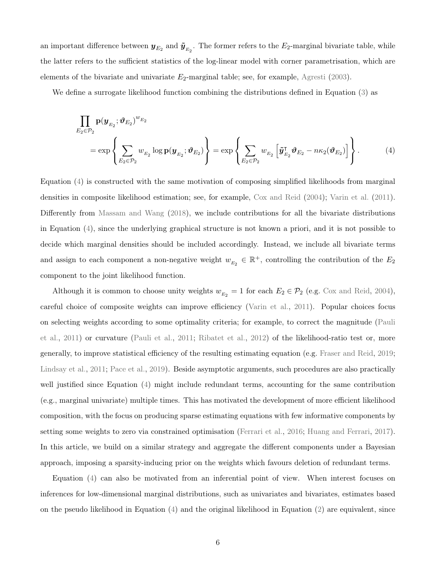an important difference between  $\bm{y}_{E_2}$  and  $\tilde{\bm{y}}_{E_2}$ . The former refers to the  $E_2$ -marginal bivariate table, while the latter refers to the sufficient statistics of the log-linear model with corner parametrisation, which are elements of the bivariate and univariate  $E_2$ -marginal table; see, for example, [Agresti](#page-18-0) [\(2003\)](#page-18-0).

We define a surrogate likelihood function combining the distributions defined in Equation [\(3\)](#page-4-1) as

<span id="page-5-0"></span>
$$
\prod_{E_2 \in \mathcal{P}_2} \mathbf{p}(\mathbf{y}_{E_2}; \boldsymbol{\vartheta}_{E_2})^{w_{E_2}}\n= \exp\left\{\sum_{E_2 \in \mathcal{P}_2} w_{E_2} \log \mathbf{p}(\mathbf{y}_{E_2}; \boldsymbol{\vartheta}_{E_2})\right\} = \exp\left\{\sum_{E_2 \in \mathcal{P}_2} w_{E_2} \left[\tilde{\mathbf{y}}_{E_2}^{\mathsf{T}} \boldsymbol{\vartheta}_{E_2} - n\kappa_2(\boldsymbol{\vartheta}_{E_2})\right]\right\}.
$$
\n(4)

Equation [\(4\)](#page-5-0) is constructed with the same motivation of composing simplified likelihoods from marginal densities in composite likelihood estimation; see, for example, [Cox and Reid](#page-18-5) [\(2004\)](#page-18-5); [Varin et al.](#page-23-1) [\(2011\)](#page-23-1). Differently from [Massam and Wang](#page-21-5) [\(2018\)](#page-21-5), we include contributions for all the bivariate distributions in Equation [\(4\)](#page-5-0), since the underlying graphical structure is not known a priori, and it is not possible to decide which marginal densities should be included accordingly. Instead, we include all bivariate terms and assign to each component a non-negative weight  $w_{E_2} \in \mathbb{R}^+$ , controlling the contribution of the  $E_2$ component to the joint likelihood function.

Although it is common to choose unity weights  $w_{E_2} = 1$  for each  $E_2 \in \mathcal{P}_2$  (e.g. [Cox and Reid,](#page-18-5) [2004\)](#page-18-5), careful choice of composite weights can improve efficiency [\(Varin et al.,](#page-23-1) [2011\)](#page-23-1). Popular choices focus on selecting weights according to some optimality criteria; for example, to correct the magnitude [\(Pauli](#page-21-6) [et al.,](#page-21-6) [2011\)](#page-21-6) or curvature [\(Pauli et al.,](#page-21-6) [2011;](#page-21-6) [Ribatet et al.,](#page-22-5) [2012\)](#page-22-5) of the likelihood-ratio test or, more generally, to improve statistical efficiency of the resulting estimating equation (e.g. [Fraser and Reid,](#page-19-6) [2019;](#page-19-6) [Lindsay et al.,](#page-21-7) [2011;](#page-21-7) [Pace et al.,](#page-21-8) [2019\)](#page-21-8). Beside asymptotic arguments, such procedures are also practically well justified since Equation [\(4\)](#page-5-0) might include redundant terms, accounting for the same contribution (e.g., marginal univariate) multiple times. This has motivated the development of more efficient likelihood composition, with the focus on producing sparse estimating equations with few informative components by setting some weights to zero via constrained optimisation [\(Ferrari et al.,](#page-19-7) [2016;](#page-19-7) [Huang and Ferrari,](#page-20-6) [2017\)](#page-20-6). In this article, we build on a similar strategy and aggregate the different components under a Bayesian approach, imposing a sparsity-inducing prior on the weights which favours deletion of redundant terms.

Equation [\(4\)](#page-5-0) can also be motivated from an inferential point of view. When interest focuses on inferences for low-dimensional marginal distributions, such as univariates and bivariates, estimates based on the pseudo likelihood in Equation [\(4\)](#page-5-0) and the original likelihood in Equation [\(2\)](#page-4-0) are equivalent, since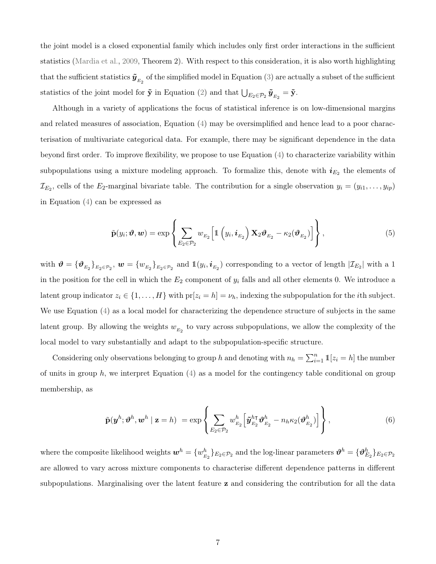the joint model is a closed exponential family which includes only first order interactions in the sufficient statistics [\(Mardia et al.,](#page-21-9) [2009,](#page-21-9) Theorem 2). With respect to this consideration, it is also worth highlighting that the sufficient statistics  $\tilde{\bm{y}}_{_{E_2}}$  of the simplified model in Equation [\(3\)](#page-4-1) are actually a subset of the sufficient statistics of the joint model for  $\tilde{\mathbf{y}}$  in Equation [\(2\)](#page-4-0) and that  $\bigcup_{E_2 \in \mathcal{P}_2} \tilde{\mathbf{y}}_{E_2} = \tilde{\mathbf{y}}$ .

Although in a variety of applications the focus of statistical inference is on low-dimensional margins and related measures of association, Equation [\(4\)](#page-5-0) may be oversimplified and hence lead to a poor characterisation of multivariate categorical data. For example, there may be significant dependence in the data beyond first order. To improve flexibility, we propose to use Equation [\(4\)](#page-5-0) to characterize variability within subpopulations using a mixture modeling approach. To formalize this, denote with  $i_{E_2}$  the elements of  $\mathcal{I}_{E_2}$ , cells of the  $E_2$ -marginal bivariate table. The contribution for a single observation  $y_i = (y_{i1}, \ldots, y_{ip})$ in Equation [\(4\)](#page-5-0) can be expressed as

$$
\tilde{\mathbf{p}}(y_i; \boldsymbol{\vartheta}, \boldsymbol{w}) = \exp \left\{ \sum_{E_2 \in \mathcal{P}_2} w_{E_2} \left[ \mathbb{1} \left( y_i, i_{E_2} \right) \mathbf{X}_2 \boldsymbol{\vartheta}_{E_2} - \kappa_2 (\boldsymbol{\vartheta}_{E_2}) \right] \right\},
$$
\n(5)

<span id="page-6-1"></span>with  $\boldsymbol{\vartheta} = {\{\boldsymbol{\vartheta}_{E_2}\}}_{E_2 \in \mathcal{P}_2}, \boldsymbol{w} = {w_{E_2}\}}_{E_2 \in \mathcal{P}_2}$  and  $\mathbb{1}(y_i, i_{E_2})$  corresponding to a vector of length  $|\mathcal{I}_{E_2}|$  with a 1 in the position for the cell in which the  $E_2$  component of  $y_i$  falls and all other elements 0. We introduce a latent group indicator  $z_i \in \{1, ..., H\}$  with  $pr[z_i = h] = \nu_h$ , indexing the subpopulation for the *i*th subject. We use Equation [\(4\)](#page-5-0) as a local model for characterizing the dependence structure of subjects in the same latent group. By allowing the weights  $w_{E_2}$  to vary across subpopulations, we allow the complexity of the local model to vary substantially and adapt to the subpopulation-specific structure.

Considering only observations belonging to group h and denoting with  $n_h = \sum_{i=1}^n 1\!\mathbb{I}[z_i = h]$  the number of units in group h, we interpret Equation  $(4)$  as a model for the contingency table conditional on group membership, as

<span id="page-6-0"></span>
$$
\tilde{\mathbf{p}}(\boldsymbol{y}^h; \boldsymbol{\vartheta}^h, \boldsymbol{w}^h \mid \mathbf{z} = h) = \exp \left\{ \sum_{E_2 \in \mathcal{P}_2} w_{E_2}^h \left[ \tilde{\boldsymbol{y}}_{E_2}^{h\intercal} \boldsymbol{\vartheta}_{E_2}^h - n_h \kappa_2 (\boldsymbol{\vartheta}_{E_2}^h) \right] \right\},
$$
\n(6)

where the composite likelihood weights  $w^h = \{w^h_{\mu}\}$  $\{b_{E_2}\}_{E_2 \in \mathcal{P}_2}$  and the log-linear parameters  $\boldsymbol{\vartheta}^h = \{\boldsymbol{\vartheta}_{E_2}^h\}_{E_2 \in \mathcal{P}_2}$ are allowed to vary across mixture components to characterise different dependence patterns in different subpopulations. Marginalising over the latent feature **z** and considering the contribution for all the data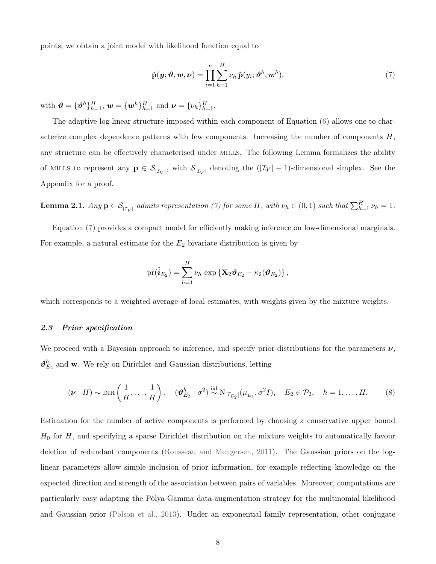points, we obtain a joint model with likelihood function equal to

<span id="page-7-0"></span>
$$
\tilde{\mathbf{p}}(\boldsymbol{y};\boldsymbol{\vartheta},\boldsymbol{w},\boldsymbol{\nu}) = \prod_{i=1}^{n} \sum_{h=1}^{H} \nu_h \, \tilde{\mathbf{p}}(y_i; \boldsymbol{\vartheta}^h, \boldsymbol{w}^h), \tag{7}
$$

with  $\boldsymbol{\vartheta} = {\{\boldsymbol{\vartheta}^h\}}_{h=1}^H$ ,  $\boldsymbol{w} = {\{\boldsymbol{w}^h\}}_{h=1}^H$  and  $\boldsymbol{\nu} = {\{\nu_h\}}_{h=1}^H$ .

The adaptive log-linear structure imposed within each component of Equation [\(6\)](#page-6-0) allows one to characterize complex dependence patterns with few components. Increasing the number of components  $H$ , any structure can be effectively characterised under MILLS. The following Lemma formalizes the ability of MILLS to represent any  $p \in S_{|\mathcal{I}_V|}$ , with  $S_{|\mathcal{I}_V|}$  denoting the  $(|\mathcal{I}_V|-1)$ -dimensional simplex. See the Appendix for a proof.

<span id="page-7-1"></span>**Lemma 2.1.** Any  $p \in S_{|\mathcal{I}_V|}$  admits representation [\(7\)](#page-7-0) for some H, with  $\nu_h \in (0,1)$  such that  $\sum_{h=1}^H \nu_h = 1$ .

Equation [\(7\)](#page-7-0) provides a compact model for efficiently making inference on low-dimensional marginals. For example, a natural estimate for the  $E_2$  bivariate distribution is given by

$$
\text{pr}(\hat{\boldsymbol{i}}_{E_2})=\sum_{h=1}^{H}\nu_h\,\exp\left\{\mathbf{X}_2\boldsymbol{\vartheta}_{E_2}-\kappa_2(\boldsymbol{\vartheta}_{E_2})\right\},\,
$$

which corresponds to a weighted average of local estimates, with weights given by the mixture weights.

# 2.3 Prior specification

We proceed with a Bayesian approach to inference, and specify prior distributions for the parameters  $\nu$ ,  $\boldsymbol{\vartheta}^{h}_{E_{2}}$  and w. We rely on Dirichlet and Gaussian distributions, letting

<span id="page-7-2"></span>
$$
(\nu \mid H) \sim \text{DIR}\left(\frac{1}{H}, \dots, \frac{1}{H}\right), \quad (\vartheta_{E_2}^h \mid \sigma^2) \stackrel{\text{iid}}{\sim} \text{N}_{|\mathcal{I}_{E_2}|}(\mu_{E_2}, \sigma^2 I), \quad E_2 \in \mathcal{P}_2, \quad h = 1, \dots, H. \tag{8}
$$

Estimation for the number of active components is performed by choosing a conservative upper bound  $H_0$  for  $H$ , and specifying a sparse Dirichlet distribution on the mixture weights to automatically favour deletion of redundant components [\(Rousseau and Mengersen,](#page-22-6) [2011\)](#page-22-6). The Gaussian priors on the loglinear parameters allow simple inclusion of prior information, for example reflecting knowledge on the expected direction and strength of the association between pairs of variables. Moreover, computations are particularly easy adapting the Pòlya-Gamma data-augmentation strategy for the multinomial likelihood and Gaussian prior [\(Polson et al.,](#page-22-7) [2013\)](#page-22-7). Under an exponential family representation, other conjugate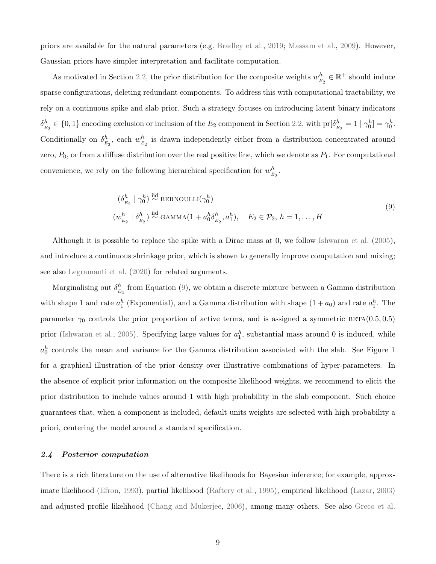priors are available for the natural parameters (e.g. [Bradley et al.,](#page-18-6) [2019;](#page-18-6) [Massam et al.,](#page-21-1) [2009\)](#page-21-1). However, Gaussian priors have simpler interpretation and facilitate computation.

As motivated in Section [2.2,](#page-4-2) the prior distribution for the composite weights  $w_{\nu}^{h}$  $\mathbf{E}_h^h \in \mathbb{R}^+$  should induce sparse configurations, deleting redundant components. To address this with computational tractability, we rely on a continuous spike and slab prior. Such a strategy focuses on introducing latent binary indicators  $\delta^h_{_F}$  $E_{E_2}^{h} \in \{0, 1\}$  encoding exclusion or inclusion of the  $E_2$  component in Section [2.2,](#page-5-0) with  $\text{pr}[\delta_E^h]$  $\frac{h}{E_2} = 1 \mid \gamma_0^h] = \gamma_0^h.$ Conditionally on  $\delta^h_{\vec{r}}$  $\frac{h}{E_2}$ , each  $w_E^h$  $\frac{h}{E_2}$  is drawn independently either from a distribution concentrated around zero,  $P_0$ , or from a diffuse distribution over the real positive line, which we denote as  $P_1$ . For computational convenience, we rely on the following hierarchical specification for  $w^h_{\nu}$  $\frac{h}{E_2}$  .

$$
\begin{aligned}\n(\delta_{E_2}^h \mid \gamma_0^h) &\stackrel{\text{iid}}{\sim} \text{BERNOULLI}(\gamma_0^h) \\
(w_{E_2}^h \mid \delta_{E_2}^h) &\stackrel{\text{iid}}{\sim} \text{GAMMA}(1 + a_0^h \delta_{E_2}^h, a_1^h), \quad E_2 \in \mathcal{P}_2, \ h = 1, \dots, H\n\end{aligned} \tag{9}
$$

<span id="page-8-0"></span>Although it is possible to replace the spike with a Dirac mass at 0, we follow [Ishwaran et al.](#page-20-7) [\(2005\)](#page-20-7), and introduce a continuous shrinkage prior, which is shown to generally improve computation and mixing; see also [Legramanti et al.](#page-21-10) [\(2020\)](#page-21-10) for related arguments.

Marginalising out  $\delta^h_{\vec{r}}$  $E_{E_2}$  from Equation [\(9\)](#page-8-0), we obtain a discrete mixture between a Gamma distribution with shape 1 and rate  $a_1^h$  (Exponential), and a Gamma distribution with shape  $(1 + a_0)$  and rate  $a_1^h$ . The parameter  $\gamma_0$  controls the prior proportion of active terms, and is assigned a symmetric BETA(0.5, 0.5) prior [\(Ishwaran et al.,](#page-20-7) [2005\)](#page-20-7). Specifying large values for  $a_1^h$ , substantial mass around 0 is induced, while  $a_0^h$  controls the mean and variance for the Gamma distribution associated with the slab. See Figure [1](#page-9-0) for a graphical illustration of the prior density over illustrative combinations of hyper-parameters. In the absence of explicit prior information on the composite likelihood weights, we recommend to elicit the prior distribution to include values around 1 with high probability in the slab component. Such choice guarantees that, when a component is included, default units weights are selected with high probability a priori, centering the model around a standard specification.

### 2.4 Posterior computation

There is a rich literature on the use of alternative likelihoods for Bayesian inference; for example, approximate likelihood [\(Efron,](#page-19-8) [1993\)](#page-19-8), partial likelihood [\(Raftery et al.,](#page-22-8) [1995\)](#page-22-8), empirical likelihood [\(Lazar,](#page-20-8) [2003\)](#page-20-8) and adjusted profile likelihood [\(Chang and Mukerjee,](#page-18-7) [2006\)](#page-18-7), among many others. See also [Greco et al.](#page-20-9)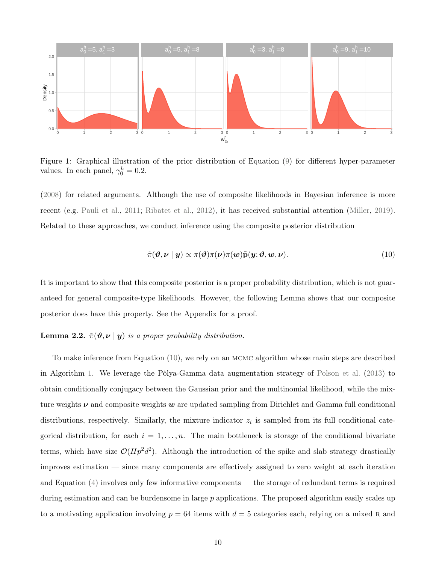

<span id="page-9-0"></span>Figure 1: Graphical illustration of the prior distribution of Equation [\(9\)](#page-8-0) for different hyper-parameter values. In each panel,  $\gamma_0^h = 0.2$ .

[\(2008\)](#page-20-9) for related arguments. Although the use of composite likelihoods in Bayesian inference is more recent (e.g. [Pauli et al.,](#page-21-6) [2011;](#page-21-6) [Ribatet et al.,](#page-22-5) [2012\)](#page-22-5), it has received substantial attention [\(Miller,](#page-21-11) [2019\)](#page-21-11). Related to these approaches, we conduct inference using the composite posterior distribution

<span id="page-9-1"></span>
$$
\tilde{\pi}(\boldsymbol{\vartheta},\boldsymbol{\nu} \mid \boldsymbol{y}) \propto \pi(\boldsymbol{\vartheta})\pi(\boldsymbol{\nu})\pi(\boldsymbol{w})\tilde{\mathbf{p}}(\boldsymbol{y};\boldsymbol{\vartheta},\boldsymbol{w},\boldsymbol{\nu}). \tag{10}
$$

It is important to show that this composite posterior is a proper probability distribution, which is not guaranteed for general composite-type likelihoods. However, the following Lemma shows that our composite posterior does have this property. See the Appendix for a proof.

# <span id="page-9-2"></span>**Lemma 2.2.**  $\tilde{\pi}(\vartheta, \nu \mid y)$  is a proper probability distribution.

To make inference from Equation [\(10\)](#page-9-1), we rely on an mcmc algorithm whose main steps are described in Algorithm [1.](#page-24-0) We leverage the Pòlya-Gamma data augmentation strategy of [Polson et al.](#page-22-7) [\(2013\)](#page-22-7) to obtain conditionally conjugacy between the Gaussian prior and the multinomial likelihood, while the mixture weights  $\nu$  and composite weights  $w$  are updated sampling from Dirichlet and Gamma full conditional distributions, respectively. Similarly, the mixture indicator  $z_i$  is sampled from its full conditional categorical distribution, for each  $i = 1, \ldots, n$ . The main bottleneck is storage of the conditional bivariate terms, which have size  $\mathcal{O}(Hp^2d^2)$ . Although the introduction of the spike and slab strategy drastically improves estimation — since many components are effectively assigned to zero weight at each iteration and Equation [\(4\)](#page-5-0) involves only few informative components — the storage of redundant terms is required during estimation and can be burdensome in large  $p$  applications. The proposed algorithm easily scales up to a motivating application involving  $p = 64$  items with  $d = 5$  categories each, relying on a mixed R and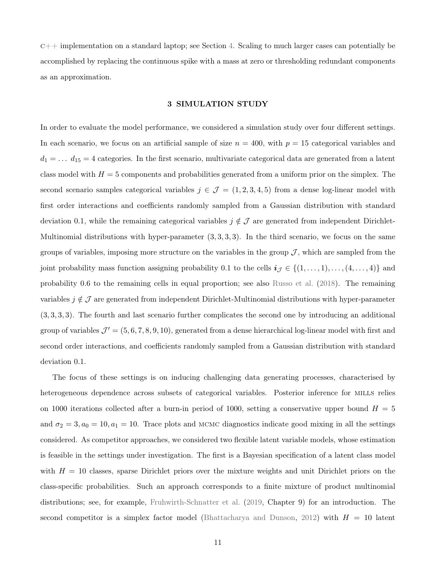$c++$  implementation on a standard laptop; see Section [4.](#page-12-0) Scaling to much larger cases can potentially be accomplished by replacing the continuous spike with a mass at zero or thresholding redundant components as an approximation.

### 3 SIMULATION STUDY

In order to evaluate the model performance, we considered a simulation study over four different settings. In each scenario, we focus on an artificial sample of size  $n = 400$ , with  $p = 15$  categorical variables and  $d_1 = \ldots d_{15} = 4$  categories. In the first scenario, multivariate categorical data are generated from a latent class model with  $H = 5$  components and probabilities generated from a uniform prior on the simplex. The second scenario samples categorical variables  $j \in \mathcal{J} = (1, 2, 3, 4, 5)$  from a dense log-linear model with first order interactions and coefficients randomly sampled from a Gaussian distribution with standard deviation 0.1, while the remaining categorical variables  $j \notin \mathcal{J}$  are generated from independent Dirichlet-Multinomial distributions with hyper-parameter  $(3, 3, 3, 3)$ . In the third scenario, we focus on the same groups of variables, imposing more structure on the variables in the group  $J$ , which are sampled from the joint probability mass function assigning probability 0.1 to the cells  $i_{\mathcal{J}} \in \{(1, \ldots, 1), \ldots, (4, \ldots, 4)\}\$  and probability 0.6 to the remaining cells in equal proportion; see also [Russo et al.](#page-22-9) [\(2018\)](#page-22-9). The remaining variables  $j \notin \mathcal{J}$  are generated from independent Dirichlet-Multinomial distributions with hyper-parameter (3, 3, 3, 3). The fourth and last scenario further complicates the second one by introducing an additional group of variables  $\mathcal{J}' = (5, 6, 7, 8, 9, 10)$ , generated from a dense hierarchical log-linear model with first and second order interactions, and coefficients randomly sampled from a Gaussian distribution with standard deviation 0.1.

The focus of these settings is on inducing challenging data generating processes, characterised by heterogeneous dependence across subsets of categorical variables. Posterior inference for mills relies on 1000 iterations collected after a burn-in period of 1000, setting a conservative upper bound  $H = 5$ and  $\sigma_2 = 3, a_0 = 10, a_1 = 10$ . Trace plots and MCMC diagnostics indicate good mixing in all the settings considered. As competitor approaches, we considered two flexible latent variable models, whose estimation is feasible in the settings under investigation. The first is a Bayesian specification of a latent class model with  $H = 10$  classes, sparse Dirichlet priors over the mixture weights and unit Dirichlet priors on the class-specific probabilities. Such an approach corresponds to a finite mixture of product multinomial distributions; see, for example, [Fruhwirth-Schnatter et al.](#page-19-2) [\(2019,](#page-19-2) Chapter 9) for an introduction. The second competitor is a simplex factor model [\(Bhattacharya and Dunson,](#page-18-3) [2012\)](#page-18-3) with  $H = 10$  latent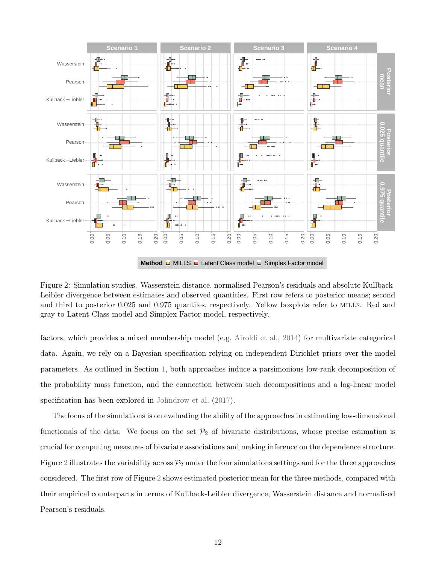

**Method E** MILLS **E** Latent Class model **E** Simplex Factor model

<span id="page-11-0"></span>Figure 2: Simulation studies. Wasserstein distance, normalised Pearson's residuals and absolute Kullback-Leibler divergence between estimates and observed quantities. First row refers to posterior means; second and third to posterior 0.025 and 0.975 quantiles, respectively. Yellow boxplots refer to MILLS. Red and gray to Latent Class model and Simplex Factor model, respectively.

factors, which provides a mixed membership model (e.g. [Airoldi et al.,](#page-18-2) [2014\)](#page-18-2) for multivariate categorical data. Again, we rely on a Bayesian specification relying on independent Dirichlet priors over the model parameters. As outlined in Section [1,](#page-0-0) both approaches induce a parsimonious low-rank decomposition of the probability mass function, and the connection between such decompositions and a log-linear model specification has been explored in [Johndrow et al.](#page-20-5) [\(2017\)](#page-20-5).

The focus of the simulations is on evaluating the ability of the approaches in estimating low-dimensional functionals of the data. We focus on the set  $\mathcal{P}_2$  of bivariate distributions, whose precise estimation is crucial for computing measures of bivariate associations and making inference on the dependence structure. Figure [2](#page-11-0) illustrates the variability across  $P_2$  under the four simulations settings and for the three approaches considered. The first row of Figure [2](#page-11-0) shows estimated posterior mean for the three methods, compared with their empirical counterparts in terms of Kullback-Leibler divergence, Wasserstein distance and normalised Pearson's residuals.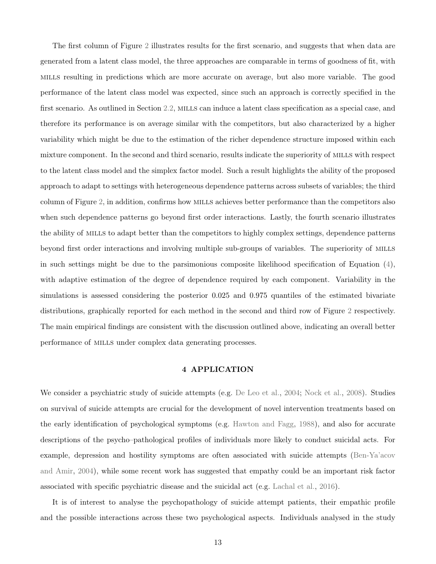The first column of Figure [2](#page-11-0) illustrates results for the first scenario, and suggests that when data are generated from a latent class model, the three approaches are comparable in terms of goodness of fit, with mills resulting in predictions which are more accurate on average, but also more variable. The good performance of the latent class model was expected, since such an approach is correctly specified in the first scenario. As outlined in Section [2.2,](#page-4-2) mills can induce a latent class specification as a special case, and therefore its performance is on average similar with the competitors, but also characterized by a higher variability which might be due to the estimation of the richer dependence structure imposed within each mixture component. In the second and third scenario, results indicate the superiority of MILLS with respect to the latent class model and the simplex factor model. Such a result highlights the ability of the proposed approach to adapt to settings with heterogeneous dependence patterns across subsets of variables; the third column of Figure [2,](#page-11-0) in addition, confirms how mills achieves better performance than the competitors also when such dependence patterns go beyond first order interactions. Lastly, the fourth scenario illustrates the ability of mills to adapt better than the competitors to highly complex settings, dependence patterns beyond first order interactions and involving multiple sub-groups of variables. The superiority of mills in such settings might be due to the parsimonious composite likelihood specification of Equation  $(4)$ , with adaptive estimation of the degree of dependence required by each component. Variability in the simulations is assessed considering the posterior 0.025 and 0.975 quantiles of the estimated bivariate distributions, graphically reported for each method in the second and third row of Figure [2](#page-11-0) respectively. The main empirical findings are consistent with the discussion outlined above, indicating an overall better performance of mills under complex data generating processes.

# 4 APPLICATION

<span id="page-12-0"></span>We consider a psychiatric study of suicide attempts (e.g. [De Leo et al.,](#page-19-9) [2004;](#page-19-9) [Nock et al.,](#page-21-12) [2008\)](#page-21-12). Studies on survival of suicide attempts are crucial for the development of novel intervention treatments based on the early identification of psychological symptoms (e.g. [Hawton and Fagg,](#page-20-10) [1988\)](#page-20-10), and also for accurate descriptions of the psycho–pathological profiles of individuals more likely to conduct suicidal acts. For example, depression and hostility symptoms are often associated with suicide attempts [\(Ben-Ya'acov](#page-18-8) [and Amir,](#page-18-8) [2004\)](#page-18-8), while some recent work has suggested that empathy could be an important risk factor associated with specific psychiatric disease and the suicidal act (e.g. [Lachal et al.,](#page-20-11) [2016\)](#page-20-11).

It is of interest to analyse the psychopathology of suicide attempt patients, their empathic profile and the possible interactions across these two psychological aspects. Individuals analysed in the study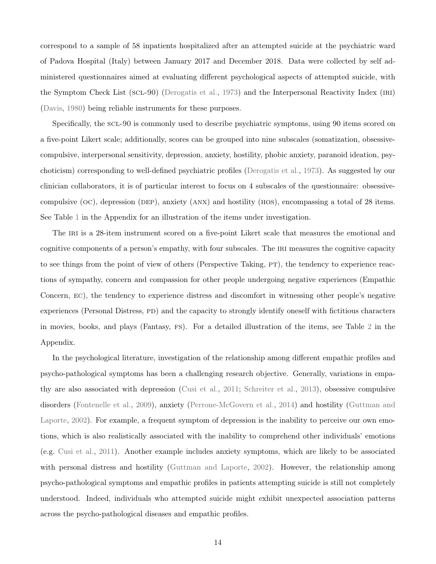correspond to a sample of 58 inpatients hospitalized after an attempted suicide at the psychiatric ward of Padova Hospital (Italy) between January 2017 and December 2018. Data were collected by self administered questionnaires aimed at evaluating different psychological aspects of attempted suicide, with the Symptom Check List (scl-90) [\(Derogatis et al.,](#page-19-10) [1973\)](#page-19-10) and the Interpersonal Reactivity Index (iri) [\(Davis,](#page-19-11) [1980\)](#page-19-11) being reliable instruments for these purposes.

Specifically, the scl-90 is commonly used to describe psychiatric symptoms, using 90 items scored on a five-point Likert scale; additionally, scores can be grouped into nine subscales (somatization, obsessivecompulsive, interpersonal sensitivity, depression, anxiety, hostility, phobic anxiety, paranoid ideation, psychoticism) corresponding to well-defined psychiatric profiles [\(Derogatis et al.,](#page-19-10) [1973\)](#page-19-10). As suggested by our clinician collaborators, it is of particular interest to focus on 4 subscales of the questionnaire: obsessivecompulsive  $(OC)$ , depression (DEP), anxiety (ANX) and hostility (HOS), encompassing a total of 28 items. See Table [1](#page-25-0) in the Appendix for an illustration of the items under investigation.

The IRI is a 28-item instrument scored on a five-point Likert scale that measures the emotional and cognitive components of a person's empathy, with four subscales. The IRI measures the cognitive capacity to see things from the point of view of others (Perspective Taking, PT), the tendency to experience reactions of sympathy, concern and compassion for other people undergoing negative experiences (Empathic Concern, ec), the tendency to experience distress and discomfort in witnessing other people's negative experiences (Personal Distress, PD) and the capacity to strongly identify oneself with fictitious characters in movies, books, and plays (Fantasy, fs). For a detailed illustration of the items, see Table [2](#page-26-0) in the Appendix.

In the psychological literature, investigation of the relationship among different empathic profiles and psycho-pathological symptoms has been a challenging research objective. Generally, variations in empathy are also associated with depression [\(Cusi et al.,](#page-18-9) [2011;](#page-18-9) [Schreiter et al.,](#page-22-10) [2013\)](#page-22-10), obsessive compulsive disorders [\(Fontenelle et al.,](#page-19-12) [2009\)](#page-19-12), anxiety [\(Perrone-McGovern et al.,](#page-22-11) [2014\)](#page-22-11) and hostility [\(Guttman and](#page-20-12) [Laporte,](#page-20-12) [2002\)](#page-20-12). For example, a frequent symptom of depression is the inability to perceive our own emotions, which is also realistically associated with the inability to comprehend other individuals' emotions (e.g. [Cusi et al.,](#page-18-9) [2011\)](#page-18-9). Another example includes anxiety symptoms, which are likely to be associated with personal distress and hostility [\(Guttman and Laporte,](#page-20-12) [2002\)](#page-20-12). However, the relationship among psycho-pathological symptoms and empathic profiles in patients attempting suicide is still not completely understood. Indeed, individuals who attempted suicide might exhibit unexpected association patterns across the psycho-pathological diseases and empathic profiles.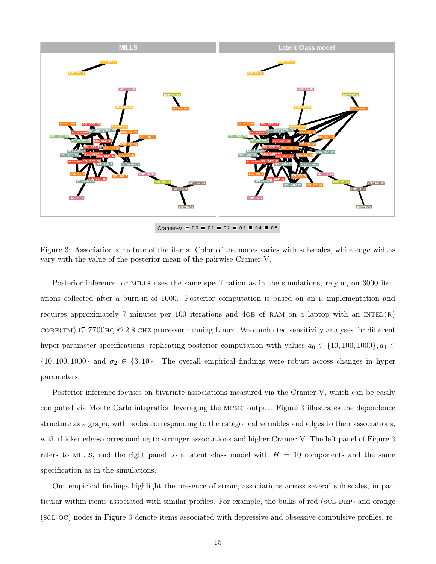

Cramer–V  $-$  0.0  $-$  0.1  $-$  0.2  $-$  0.3  $-$  0.4  $-$  0.5

<span id="page-14-0"></span>Figure 3: Association structure of the items. Color of the nodes varies with subscales, while edge widths vary with the value of the posterior mean of the pairwise Cramer-V.

Posterior inference for mills uses the same specification as in the simulations, relying on 3000 iterations collected after a burn-in of 1000. Posterior computation is based on an r implementation and requires approximately 7 minutes per 100 iterations and 4GB of RAM on a laptop with an  $INTEL(R)$ core(tm) i7-7700hq @ 2.8 ghz processor running Linux. We conducted sensitivity analyses for different hyper-parameter specifications, replicating posterior computation with values  $a_0 \in \{10, 100, 1000\}, a_1 \in$  $\{10, 100, 1000\}$  and  $\sigma_2 \in \{3, 10\}$ . The overall empirical findings were robust across changes in hyper parameters.

Posterior inference focuses on bivariate associations measured via the Cramer-V, which can be easily computed via Monte Carlo integration leveraging the mcmc output. Figure [3](#page-14-0) illustrates the dependence structure as a graph, with nodes corresponding to the categorical variables and edges to their associations, with thicker edges corresponding to stronger associations and higher Cramer-V. The left panel of Figure [3](#page-14-0) refers to MILLS, and the right panel to a latent class model with  $H = 10$  components and the same specification as in the simulations.

Our empirical findings highlight the presence of strong associations across several sub-scales, in particular within items associated with similar profiles. For example, the bulks of red (SCL-DEP) and orange (scl-oc) nodes in Figure [3](#page-14-0) denote items associated with depressive and obsessive compulsive profiles, re-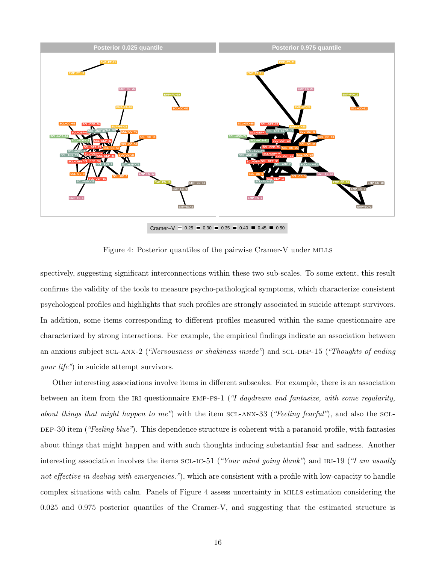

<span id="page-15-0"></span>Cramer–V  $-$  0.25 = 0.30 = 0.35 = 0.40 = 0.45 = 0.50

Figure 4: Posterior quantiles of the pairwise Cramer-V under MILLS

spectively, suggesting significant interconnections within these two sub-scales. To some extent, this result confirms the validity of the tools to measure psycho-pathological symptoms, which characterize consistent psychological profiles and highlights that such profiles are strongly associated in suicide attempt survivors. In addition, some items corresponding to different profiles measured within the same questionnaire are characterized by strong interactions. For example, the empirical findings indicate an association between an anxious subject SCL-ANX-2 ("Nervousness or shakiness inside") and SCL-DEP-15 ("Thoughts of ending your life") in suicide attempt survivors.

Other interesting associations involve items in different subscales. For example, there is an association between an item from the IRI questionnaire EMP-FS-1 ("I daydream and fantasize, with some regularity, about things that might happen to me") with the item  $SCL-ANX-33$  ("Feeling fearful"), and also the  $SCL-$ DEP-30 item ("Feeling blue"). This dependence structure is coherent with a paranoid profile, with fantasies about things that might happen and with such thoughts inducing substantial fear and sadness. Another interesting association involves the items  $SCL-IC-51$  ("Your mind going blank") and IRI-19 ("I am usually not effective in dealing with emergencies."), which are consistent with a profile with low-capacity to handle complex situations with calm. Panels of Figure [4](#page-15-0) assess uncertainty in mills estimation considering the 0.025 and 0.975 posterior quantiles of the Cramer-V, and suggesting that the estimated structure is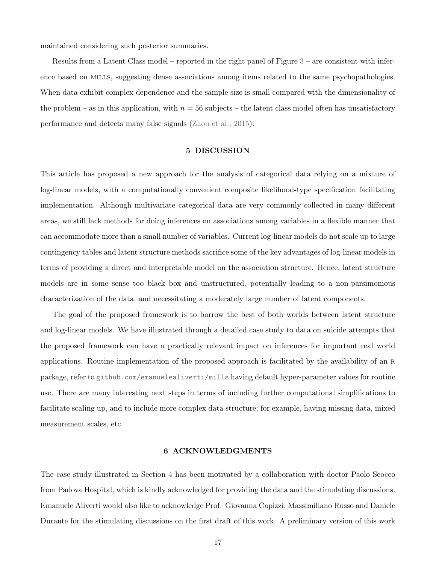maintained considering such posterior summaries.

Results from a Latent Class model – reported in the right panel of Figure [3](#page-14-0) – are consistent with inference based on mills, suggesting dense associations among items related to the same psychopathologies. When data exhibit complex dependence and the sample size is small compared with the dimensionality of the problem – as in this application, with  $n = 56$  subjects – the latent class model often has unsatisfactory performance and detects many false signals [\(Zhou et al.,](#page-23-2) [2015\)](#page-23-2).

### 5 DISCUSSION

This article has proposed a new approach for the analysis of categorical data relying on a mixture of log-linear models, with a computationally convenient composite likelihood-type specification facilitating implementation. Although multivariate categorical data are very commonly collected in many different areas, we still lack methods for doing inferences on associations among variables in a flexible manner that can accommodate more than a small number of variables. Current log-linear models do not scale up to large contingency tables and latent structure methods sacrifice some of the key advantages of log-linear models in terms of providing a direct and interpretable model on the association structure. Hence, latent structure models are in some sense too black box and unstructured, potentially leading to a non-parsimonious characterization of the data, and necessitating a moderately large number of latent components.

The goal of the proposed framework is to borrow the best of both worlds between latent structure and log-linear models. We have illustrated through a detailed case study to data on suicide attempts that the proposed framework can have a practically relevant impact on inferences for important real world applications. Routine implementation of the proposed approach is facilitated by the availability of an r package, refer to <github.com/emanuelealiverti/mills> having default hyper-parameter values for routine use. There are many interesting next steps in terms of including further computational simplifications to facilitate scaling up, and to include more complex data structure; for example, having missing data, mixed measurement scales, etc.

# 6 ACKNOWLEDGMENTS

The case study illustrated in Section [4](#page-12-0) has been motivated by a collaboration with doctor Paolo Scocco from Padova Hospital, which is kindly acknowledged for providing the data and the stimulating discussions. Emanuele Aliverti would also like to acknowledge Prof. Giovanna Capizzi, Massimiliano Russo and Daniele Durante for the stimulating discussions on the first draft of this work. A preliminary version of this work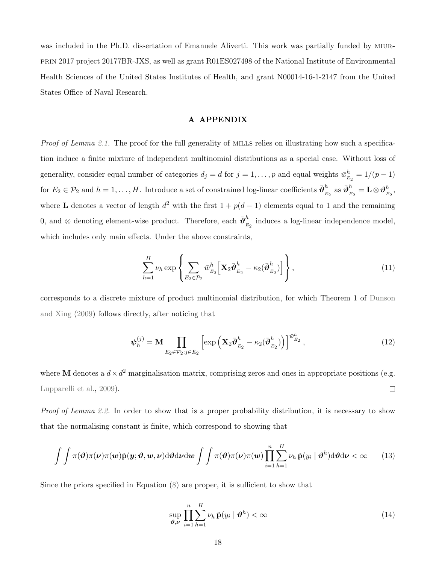was included in the Ph.D. dissertation of Emanuele Aliverti. This work was partially funded by MIURprin 2017 project 20177BR-JXS, as well as grant R01ES027498 of the National Institute of Environmental Health Sciences of the United States Institutes of Health, and grant N00014-16-1-2147 from the United States Office of Naval Research.

# A APPENDIX

Proof of Lemma [2.1.](#page-7-1) The proof for the full generality of MILLS relies on illustrating how such a specification induce a finite mixture of independent multinomial distributions as a special case. Without loss of generality, consider equal number of categories  $d_j = d$  for  $j = 1, \ldots, p$  and equal weights  $\bar{w}_E^h$  $\frac{h}{E_2} = 1/(p-1)$ for  $E_2 \in \mathcal{P}_2$  and  $h = 1, \ldots, H$ . Introduce a set of constrained log-linear coefficients  $\bar{\mathbf{\vartheta}}_E^h$  $\frac{h}{E_2}$  as  $\bar{\boldsymbol{\vartheta}}_{_{\boldsymbol{E}}}^{h}$  $\frac{h}{E_2} = \mathbf{L}\otimes\boldsymbol{\vartheta}_{E}^h$  $_{E_2}^h,$ where **L** denotes a vector of length  $d^2$  with the first  $1 + p(d-1)$  elements equal to 1 and the remaining 0, and ⊗ denoting element-wise product. Therefore, each  $\bar{\boldsymbol{\vartheta}}_k^h$  $\frac{n}{E_2}$  induces a log-linear independence model, which includes only main effects. Under the above constraints,

$$
\sum_{h=1}^{H} \nu_h \exp\left\{ \sum_{E_2 \in \mathcal{P}_2} \bar{w}_{E_2}^h \left[ \mathbf{X}_2 \bar{\boldsymbol{\vartheta}}_{E_2}^h - \kappa_2 (\bar{\boldsymbol{\vartheta}}_{E_2}^h) \right] \right\},
$$
\n(11)

corresponds to a discrete mixture of product multinomial distribution, for which Theorem 1 of [Dunson](#page-19-4) [and Xing](#page-19-4) [\(2009\)](#page-19-4) follows directly, after noticing that

$$
\boldsymbol{\psi}_h^{(j)} = \mathbf{M} \prod_{E_2 \in \mathcal{P}_2 : j \in E_2} \left[ \exp \left( \mathbf{X}_2 \bar{\boldsymbol{\vartheta}}_{E_2}^h - \kappa_2 (\bar{\boldsymbol{\vartheta}}_{E_2}^h) \right) \right]^{\bar{w}_{E_2}^h}, \tag{12}
$$

where M denotes a  $d \times d^2$  marginalisation matrix, comprising zeros and ones in appropriate positions (e.g. [Lupparelli et al.,](#page-21-3) [2009\)](#page-21-3).  $\Box$ 

Proof of Lemma [2.2.](#page-9-2) In order to show that is a proper probability distribution, it is necessary to show that the normalising constant is finite, which correspond to showing that

$$
\int \int \pi(\boldsymbol{\vartheta})\pi(\boldsymbol{\nu})\pi(\boldsymbol{\nu})\tilde{\mathbf{p}}(\mathbf{y};\boldsymbol{\vartheta},\mathbf{w},\boldsymbol{\nu}) \mathrm{d}\boldsymbol{\vartheta} \mathrm{d}\boldsymbol{\nu} \mathrm{d}\boldsymbol{\omega} \int \int \pi(\boldsymbol{\vartheta})\pi(\boldsymbol{\nu})\pi(\mathbf{w}) \prod_{i=1}^{n} \sum_{h=1}^{H} \nu_h \tilde{\mathbf{p}}(y_i \mid \boldsymbol{\vartheta}^h) \mathrm{d}\boldsymbol{\vartheta} \mathrm{d}\boldsymbol{\nu} < \infty \qquad (13)
$$

Since the priors specified in Equation [\(8\)](#page-7-2) are proper, it is sufficient to show that

$$
\sup_{\boldsymbol{\vartheta},\boldsymbol{\nu}}\prod_{i=1}^n\sum_{h=1}^H\nu_h\,\tilde{\mathbf{p}}(y_i\mid\boldsymbol{\vartheta}^h)<\infty\tag{14}
$$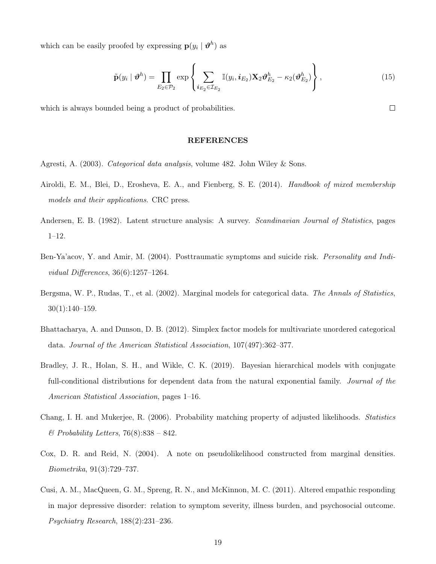which can be easily proofed by expressing  $p(y_i | \theta^h)$  as

$$
\tilde{\mathbf{p}}(y_i \mid \boldsymbol{\vartheta}^h) = \prod_{E_2 \in \mathcal{P}_2} \exp \left\{ \sum_{i_{E_2} \in \mathcal{I}_{E_2}} \mathbb{I}(y_i, i_{E_2}) \mathbf{X}_2 \boldsymbol{\vartheta}_{E_2}^h - \kappa_2(\boldsymbol{\vartheta}_{E_2}^h) \right\},
$$
\n(15)

which is always bounded being a product of probabilities.

### REFERENCES

- <span id="page-18-0"></span>Agresti, A. (2003). Categorical data analysis, volume 482. John Wiley & Sons.
- <span id="page-18-2"></span>Airoldi, E. M., Blei, D., Erosheva, E. A., and Fienberg, S. E. (2014). Handbook of mixed membership models and their applications. CRC press.
- <span id="page-18-1"></span>Andersen, E. B. (1982). Latent structure analysis: A survey. Scandinavian Journal of Statistics, pages 1–12.
- <span id="page-18-8"></span>Ben-Ya'acov, Y. and Amir, M. (2004). Posttraumatic symptoms and suicide risk. Personality and Individual Differences, 36(6):1257–1264.
- <span id="page-18-4"></span>Bergsma, W. P., Rudas, T., et al. (2002). Marginal models for categorical data. The Annals of Statistics, 30(1):140–159.
- <span id="page-18-3"></span>Bhattacharya, A. and Dunson, D. B. (2012). Simplex factor models for multivariate unordered categorical data. Journal of the American Statistical Association, 107(497):362–377.
- <span id="page-18-6"></span>Bradley, J. R., Holan, S. H., and Wikle, C. K. (2019). Bayesian hierarchical models with conjugate full-conditional distributions for dependent data from the natural exponential family. *Journal of the* American Statistical Association, pages 1–16.
- <span id="page-18-7"></span>Chang, I. H. and Mukerjee, R. (2006). Probability matching property of adjusted likelihoods. Statistics  $\mathscr$ *Probability Letters,* 76(8):838 – 842.
- <span id="page-18-5"></span>Cox, D. R. and Reid, N. (2004). A note on pseudolikelihood constructed from marginal densities. Biometrika, 91(3):729–737.
- <span id="page-18-9"></span>Cusi, A. M., MacQueen, G. M., Spreng, R. N., and McKinnon, M. C. (2011). Altered empathic responding in major depressive disorder: relation to symptom severity, illness burden, and psychosocial outcome. Psychiatry Research, 188(2):231–236.

 $\Box$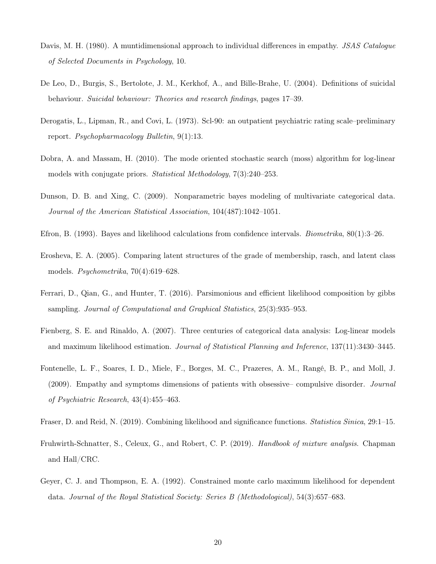- <span id="page-19-11"></span>Davis, M. H. (1980). A muntidimensional approach to individual differences in empathy. *JSAS Catalogue* of Selected Documents in Psychology, 10.
- <span id="page-19-9"></span>De Leo, D., Burgis, S., Bertolote, J. M., Kerkhof, A., and Bille-Brahe, U. (2004). Definitions of suicidal behaviour. Suicidal behaviour: Theories and research findings, pages 17–39.
- <span id="page-19-10"></span>Derogatis, L., Lipman, R., and Covi, L. (1973). Scl-90: an outpatient psychiatric rating scale–preliminary report. Psychopharmacology Bulletin, 9(1):13.
- <span id="page-19-1"></span>Dobra, A. and Massam, H. (2010). The mode oriented stochastic search (moss) algorithm for log-linear models with conjugate priors. *Statistical Methodology*, 7(3):240–253.
- <span id="page-19-4"></span>Dunson, D. B. and Xing, C. (2009). Nonparametric bayes modeling of multivariate categorical data. Journal of the American Statistical Association, 104(487):1042–1051.
- <span id="page-19-8"></span>Efron, B. (1993). Bayes and likelihood calculations from confidence intervals. Biometrika, 80(1):3–26.
- <span id="page-19-3"></span>Erosheva, E. A. (2005). Comparing latent structures of the grade of membership, rasch, and latent class models. Psychometrika, 70(4):619–628.
- <span id="page-19-7"></span>Ferrari, D., Qian, G., and Hunter, T. (2016). Parsimonious and efficient likelihood composition by gibbs sampling. Journal of Computational and Graphical Statistics, 25(3):935–953.
- <span id="page-19-0"></span>Fienberg, S. E. and Rinaldo, A. (2007). Three centuries of categorical data analysis: Log-linear models and maximum likelihood estimation. Journal of Statistical Planning and Inference, 137(11):3430–3445.
- <span id="page-19-12"></span>Fontenelle, L. F., Soares, I. D., Miele, F., Borges, M. C., Prazeres, A. M., Rangé, B. P., and Moll, J. (2009). Empathy and symptoms dimensions of patients with obsessive– compulsive disorder. Journal of Psychiatric Research, 43(4):455–463.
- <span id="page-19-6"></span>Fraser, D. and Reid, N. (2019). Combining likelihood and significance functions. Statistica Sinica, 29:1–15.
- <span id="page-19-2"></span>Fruhwirth-Schnatter, S., Celeux, G., and Robert, C. P. (2019). Handbook of mixture analysis. Chapman and Hall/CRC.
- <span id="page-19-5"></span>Geyer, C. J. and Thompson, E. A. (1992). Constrained monte carlo maximum likelihood for dependent data. Journal of the Royal Statistical Society: Series B (Methodological), 54(3):657–683.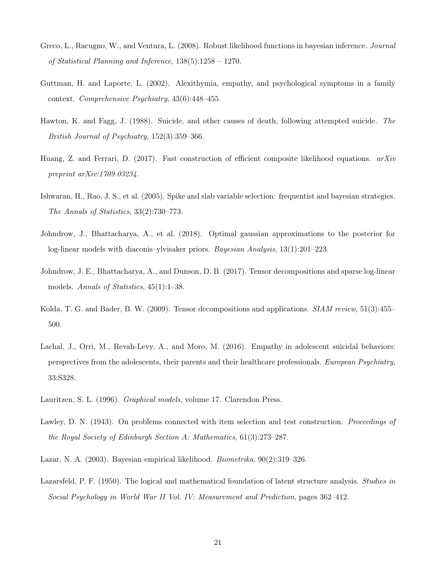- <span id="page-20-9"></span>Greco, L., Racugno, W., and Ventura, L. (2008). Robust likelihood functions in bayesian inference. Journal of Statistical Planning and Inference, 138(5):1258 – 1270.
- <span id="page-20-12"></span>Guttman, H. and Laporte, L. (2002). Alexithymia, empathy, and psychological symptoms in a family context. Comprehensive Psychiatry, 43(6):448–455.
- <span id="page-20-10"></span>Hawton, K. and Fagg, J. (1988). Suicide, and other causes of death, following attempted suicide. The British Journal of Psychiatry, 152(3):359–366.
- <span id="page-20-6"></span>Huang, Z. and Ferrari, D. (2017). Fast construction of efficient composite likelihood equations.  $arXiv$ preprint arXiv:1709.03234.
- <span id="page-20-7"></span>Ishwaran, H., Rao, J. S., et al. (2005). Spike and slab variable selection: frequentist and bayesian strategies. The Annals of Statistics, 33(2):730–773.
- <span id="page-20-1"></span>Johndrow, J., Bhattacharya, A., et al. (2018). Optimal gaussian approximations to the posterior for log-linear models with diaconis–ylvisaker priors. Bayesian Analysis, 13(1):201–223.
- <span id="page-20-5"></span>Johndrow, J. E., Bhattacharya, A., and Dunson, D. B. (2017). Tensor decompositions and sparse log-linear models. Annals of Statistics, 45(1):1–38.
- <span id="page-20-4"></span>Kolda, T. G. and Bader, B. W. (2009). Tensor decompositions and applications. *SIAM review*, 51(3):455– 500.
- <span id="page-20-11"></span>Lachal, J., Orri, M., Revah-Levy, A., and Moro, M. (2016). Empathy in adolescent suicidal behaviors: perspectives from the adolescents, their parents and their healthcare professionals. European Psychiatry, 33:S328.
- <span id="page-20-0"></span>Lauritzen, S. L. (1996). Graphical models, volume 17. Clarendon Press.
- <span id="page-20-3"></span>Lawley, D. N. (1943). On problems connected with item selection and test construction. Proceedings of the Royal Society of Edinburgh Section A: Mathematics, 61(3):273–287.
- <span id="page-20-8"></span>Lazar, N. A. (2003). Bayesian empirical likelihood. Biometrika, 90(2):319–326.
- <span id="page-20-2"></span>Lazarsfeld, P. F. (1950). The logical and mathematical foundation of latent structure analysis. Studies in Social Psychology in World War II Vol. IV: Measurement and Prediction, pages 362–412.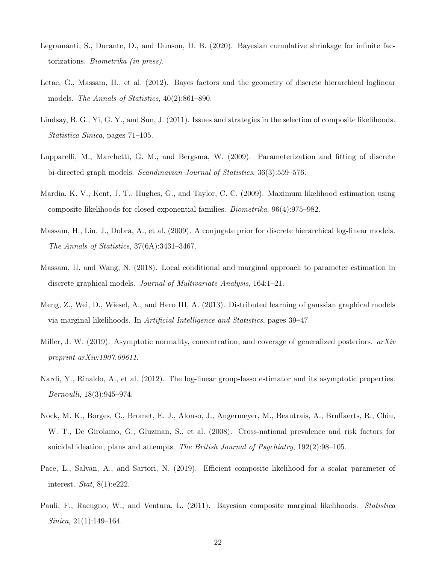- <span id="page-21-10"></span>Legramanti, S., Durante, D., and Dunson, D. B. (2020). Bayesian cumulative shrinkage for infinite factorizations. Biometrika (in press).
- <span id="page-21-2"></span>Letac, G., Massam, H., et al. (2012). Bayes factors and the geometry of discrete hierarchical loglinear models. The Annals of Statistics, 40(2):861–890.
- <span id="page-21-7"></span>Lindsay, B. G., Yi, G. Y., and Sun, J. (2011). Issues and strategies in the selection of composite likelihoods. Statistica Sinica, pages 71–105.
- <span id="page-21-3"></span>Lupparelli, M., Marchetti, G. M., and Bergsma, W. (2009). Parameterization and fitting of discrete bi-directed graph models. Scandinavian Journal of Statistics, 36(3):559–576.
- <span id="page-21-9"></span>Mardia, K. V., Kent, J. T., Hughes, G., and Taylor, C. C. (2009). Maximum likelihood estimation using composite likelihoods for closed exponential families. Biometrika, 96(4):975–982.
- <span id="page-21-1"></span>Massam, H., Liu, J., Dobra, A., et al. (2009). A conjugate prior for discrete hierarchical log-linear models. The Annals of Statistics, 37(6A):3431–3467.
- <span id="page-21-5"></span>Massam, H. and Wang, N. (2018). Local conditional and marginal approach to parameter estimation in discrete graphical models. Journal of Multivariate Analysis, 164:1–21.
- <span id="page-21-4"></span>Meng, Z., Wei, D., Wiesel, A., and Hero III, A. (2013). Distributed learning of gaussian graphical models via marginal likelihoods. In Artificial Intelligence and Statistics, pages 39–47.
- <span id="page-21-11"></span>Miller, J. W. (2019). Asymptotic normality, concentration, and coverage of generalized posteriors.  $arXiv$ preprint arXiv:1907.09611.
- <span id="page-21-0"></span>Nardi, Y., Rinaldo, A., et al. (2012). The log-linear group-lasso estimator and its asymptotic properties. Bernoulli, 18(3):945–974.
- <span id="page-21-12"></span>Nock, M. K., Borges, G., Bromet, E. J., Alonso, J., Angermeyer, M., Beautrais, A., Bruffaerts, R., Chiu, W. T., De Girolamo, G., Gluzman, S., et al. (2008). Cross-national prevalence and risk factors for suicidal ideation, plans and attempts. The British Journal of Psychiatry,  $192(2):98-105$ .
- <span id="page-21-8"></span>Pace, L., Salvan, A., and Sartori, N. (2019). Efficient composite likelihood for a scalar parameter of interest. Stat, 8(1):e222.
- <span id="page-21-6"></span>Pauli, F., Racugno, W., and Ventura, L. (2011). Bayesian composite marginal likelihoods. *Statistica* Sinica, 21(1):149–164.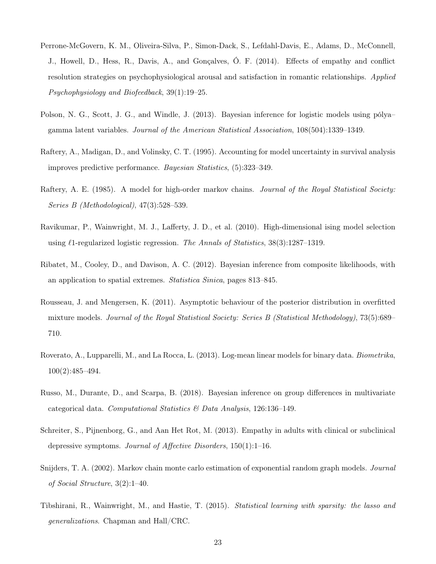- <span id="page-22-11"></span>Perrone-McGovern, K. M., Oliveira-Silva, P., Simon-Dack, S., Lefdahl-Davis, E., Adams, D., McConnell, J., Howell, D., Hess, R., Davis, A., and Gonçalves, Ó. F. (2014). Effects of empathy and conflict resolution strategies on psychophysiological arousal and satisfaction in romantic relationships. Applied Psychophysiology and Biofeedback, 39(1):19–25.
- <span id="page-22-7"></span>Polson, N. G., Scott, J. G., and Windle, J. (2013). Bayesian inference for logistic models using pólya– gamma latent variables. Journal of the American Statistical Association, 108(504):1339–1349.
- <span id="page-22-8"></span>Raftery, A., Madigan, D., and Volinsky, C. T. (1995). Accounting for model uncertainty in survival analysis improves predictive performance. Bayesian Statistics, (5):323–349.
- <span id="page-22-2"></span>Raftery, A. E. (1985). A model for high-order markov chains. Journal of the Royal Statistical Society: Series B (Methodological), 47(3):528–539.
- <span id="page-22-0"></span>Ravikumar, P., Wainwright, M. J., Lafferty, J. D., et al. (2010). High-dimensional ising model selection using  $\ell$ 1-regularized logistic regression. The Annals of Statistics, 38(3):1287–1319.
- <span id="page-22-5"></span>Ribatet, M., Cooley, D., and Davison, A. C. (2012). Bayesian inference from composite likelihoods, with an application to spatial extremes. Statistica Sinica, pages 813–845.
- <span id="page-22-6"></span>Rousseau, J. and Mengersen, K. (2011). Asymptotic behaviour of the posterior distribution in overfitted mixture models. Journal of the Royal Statistical Society: Series B (Statistical Methodology), 73(5):689– 710.
- <span id="page-22-3"></span>Roverato, A., Lupparelli, M., and La Rocca, L. (2013). Log-mean linear models for binary data. Biometrika, 100(2):485–494.
- <span id="page-22-9"></span>Russo, M., Durante, D., and Scarpa, B. (2018). Bayesian inference on group differences in multivariate categorical data. Computational Statistics & Data Analysis, 126:136–149.
- <span id="page-22-10"></span>Schreiter, S., Pijnenborg, G., and Aan Het Rot, M. (2013). Empathy in adults with clinical or subclinical depressive symptoms. Journal of Affective Disorders, 150(1):1–16.
- <span id="page-22-4"></span>Snijders, T. A. (2002). Markov chain monte carlo estimation of exponential random graph models. Journal of Social Structure, 3(2):1–40.
- <span id="page-22-1"></span>Tibshirani, R., Wainwright, M., and Hastie, T. (2015). Statistical learning with sparsity: the lasso and generalizations. Chapman and Hall/CRC.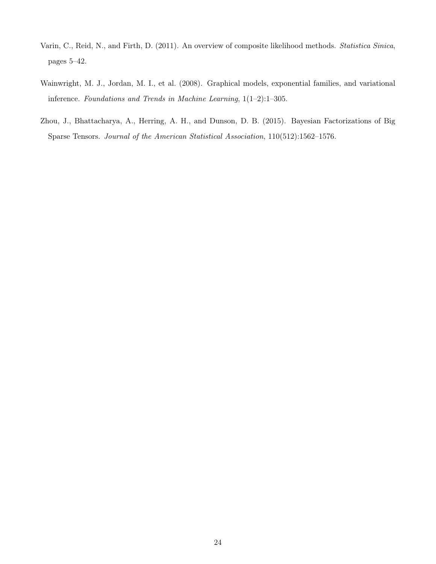- <span id="page-23-1"></span>Varin, C., Reid, N., and Firth, D. (2011). An overview of composite likelihood methods. Statistica Sinica, pages 5–42.
- <span id="page-23-0"></span>Wainwright, M. J., Jordan, M. I., et al. (2008). Graphical models, exponential families, and variational inference. Foundations and Trends in Machine Learning, 1(1–2):1–305.
- <span id="page-23-2"></span>Zhou, J., Bhattacharya, A., Herring, A. H., and Dunson, D. B. (2015). Bayesian Factorizations of Big Sparse Tensors. Journal of the American Statistical Association, 110(512):1562–1576.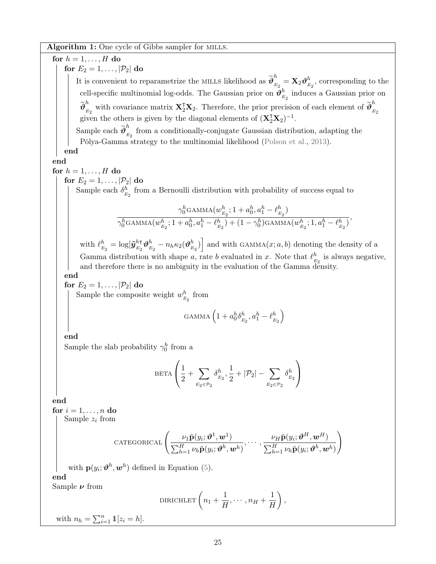Algorithm 1: One cycle of Gibbs sampler for MILLS.

<span id="page-24-0"></span>for  $h = 1, \ldots, H$  do for  $E_2 = 1, \ldots, |\mathcal{P}_2|$  do It is convenient to reparametrize the MILLS likelihood as  $\widetilde{\boldsymbol{\vartheta}}_{_E}^{h}$  $\frac{n}{E_2}=\mathbf{X}_2\boldsymbol{\vartheta}_E^h$  $\frac{h}{E_2}$ , corresponding to the cell-specific multinomial log-odds. The Gaussian prior on  $\vartheta^h_{\kappa}$  $E_2$  induces a Gaussian prior on  $\widetilde{\boldsymbol{\vartheta}}_{_{E}}^{h}$  $\frac{h}{E_2}$  with covariance matrix  $\mathbf{X}_2^{\mathsf{T}}\mathbf{X}_2$ . Therefore, the prior precision of each element of  $\widetilde{\boldsymbol{\theta}}_E^h$  $E_2$ given the others is given by the diagonal elements of  $(\mathbf{X}_2^T \mathbf{X}_2)^{-1}$ . Sample each  $\widetilde{\boldsymbol{\vartheta}}_{_{E}}^{h}$  $E_{E_2}$  from a conditionally-conjugate Gaussian distribution, adapting the Pòlya-Gamma strategy to the multinomial likelihood [\(Polson et al.,](#page-22-7) [2013\)](#page-22-7). end end for  $h = 1, \ldots, H$  do for  $E_2 = 1, \ldots, |\mathcal{P}_2|$  do Sample each  $\delta^h_{\nu}$  $E_2$  from a Bernoulli distribution with probability of success equal to  $\gamma_0^h$ gamma $(w^h_{_E}$  $a_{E_2}^h$ ; 1 +  $a_0^h$ ,  $a_1^h - \ell_E^h$  $_{E_2}^{h})$  $\sqrt[n]{_0^h}$ gamma $(w_{_{E_2}}^h;1+a_0^h,a_1^h-\ell_{_E}^h)$  $\binom{h}{E_2} + (1 - \gamma_0^h)$ GAMMA $(w_{E_2}^h; 1, a_1^h - \ell_E^h)$  $_{E_2}^{h})$ , with  $\ell^h_{\frac{r}{h}}$  $\frac{h}{E_2} = \log[\tilde{\boldsymbol{y}}_{E_2}^{h\intercal}]$  $_{E_2}^{h}$ t $\vartheta^h_{\scriptscriptstyle E}$  $\frac{h}{E_2} - n_h \kappa_2 (\boldsymbol{\vartheta}_{E}^h$  $\begin{bmatrix} h \\ E_2 \end{bmatrix}$  and with GAMMA $(x; a, b)$  denoting the density of a Gamma distribution with shape a, rate b evaluated in x. Note that  $\ell_{\kappa}^{h}$  $\frac{h}{E_2}$  is always negative, and therefore there is no ambiguity in the evaluation of the Gamma density. end for  $E_2 = 1, \ldots, |\mathcal{P}_2|$  do Sample the composite weight  $w_{\mu}^{h}$  $\frac{h}{E_2}$  from gamma  $\left(1+a_0^h\delta_E^h\right)$  $\frac{h}{E_2}, a_1^h - \ell_E^h$  $E_{2}$  $\setminus$ end Sample the slab probability  $\gamma_0^h$  from a **BETA**  $\sqrt{ }$  $\overline{1}$ 1  $\frac{1}{2} + \sum$  $E_2 \in \mathcal{P}_2$  $\delta^h_{_F}$  $\frac{h}{E_2}, \frac{1}{2}$  $\frac{1}{2} + |\mathcal{P}_2| - \sum$  $E_2 \in \mathcal{P}_2$  $\delta^h_{_F}$  $E_2$  $\setminus$  $\overline{1}$ end for  $i = 1, \ldots, n$  do Sample  $z_i$  from CATEGORICAL  $\left( \frac{\nu_1 \tilde{\mathbf{p}}(y_i; \boldsymbol{\vartheta}^1, \boldsymbol{w}^1)}{\nu_1 \tilde{\mathbf{p}}(y_i; \boldsymbol{\vartheta}^1, \boldsymbol{w}^1)} \right)$  $\sum_{h=1}^H\nu_h\tilde{\mathbf{p}}(y_i;\boldsymbol{\vartheta}^h,\boldsymbol{w}^h)$  $,\cdots,\frac{\nu_H\tilde{\mathbf{p}}(y_i;\boldsymbol{\vartheta}^H,\boldsymbol{w}^H)}{\equiv^H}$  $\sum_{h=1}^H\nu_h\tilde{\mathbf{p}}(y_i;\boldsymbol{\vartheta}^h,\boldsymbol{w}^h)$  $\setminus$ with  $\mathbf{p}(y_i; \boldsymbol{\vartheta}^h, \boldsymbol{w}^h)$  defined in Equation [\(5\)](#page-6-1). end Sample  $\nu$  from DIRICHLET  $\left(n_1 + \frac{1}{n}\right)$  $\frac{1}{H}, \cdots, n_H + \frac{1}{H}$ H  $\Big)$ , with  $n_h = \sum_{i=1}^n \mathbb{1}[z_i = h].$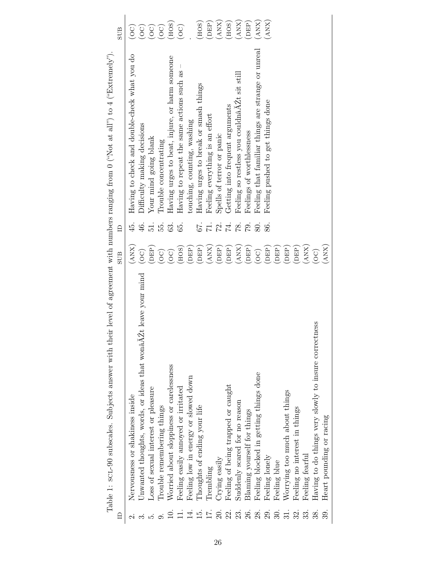<span id="page-25-0"></span>

|                | Table 1: SCL-90 subscales. Subjects answer with their level of agreement with numbers ranging from 0 ("Not at all") to 4 ("Extremely") |                            |                          |                                                    |                  |
|----------------|----------------------------------------------------------------------------------------------------------------------------------------|----------------------------|--------------------------|----------------------------------------------------|------------------|
| $\Box$         |                                                                                                                                        | <b>SUB</b>                 | $\Box$                   |                                                    | <b>SUB</b>       |
|                | Nervousness or shakiness inside                                                                                                        | (ANX)                      | 45.                      | Having to check and double-check what you do       | (OC)             |
|                | Unwanted thoughts, words, or ideas that wonâ $\tilde{A}Zt$ leave your mind                                                             | $\left(\mathrm{OC}\right)$ | 46.                      | Difficulty making decisions                        | (OC)             |
|                | Loss of sexual interest or pleasure                                                                                                    | (DEP)                      | $\overline{5}$ .         | Your mind going blank                              | $\bigcirc$       |
|                | Trouble remembering things                                                                                                             | $\bigcirc$                 | БŚ.                      | Trouble concentrating                              | $\bigcirc$       |
|                | Worried about sloppiness or carelessness                                                                                               | $\left(\odot$              | 63.                      | Having urges to beat, injure, or harm someone      | HOS              |
| $\frac{1}{14}$ | Feeling easily annoyed or irritated                                                                                                    | (HOS)                      | 59                       | Having to repeat the same actions such as          | $\overline{C}$   |
|                | Feeling low in energy or slowed down                                                                                                   | (DEP)                      |                          | touching, counting, washing                        |                  |
| 15.            | Thoughts of ending your life                                                                                                           | (DEP)                      | 67.                      | Having urges to break or smash things              | (HOS)            |
| ΙT.            | Trembling                                                                                                                              | (ANX)                      | $\overline{1}$ .         | Feeling everything is an effort                    | DEP <sup>)</sup> |
| 20.            | Crying easily                                                                                                                          | (DEP)                      | 72.                      | Spells of terror or panic                          | $\binom{ANX}{A}$ |
| 23.3           | Feeling of being trapped or caught                                                                                                     | (DEP)                      | $\overline{\mathcal{F}}$ | Getting into frequent arguments                    | HOS              |
|                | Suddenly scared for no reason                                                                                                          | (ANX)                      | $\frac{1}{2}$            | Feeling so restless you couldnaAZt sit still       | (AX)             |
| 26.            | Blaming yourself for things                                                                                                            | (DEP)                      | $\mathbb{S}^2$           | Feelings of worthlessness                          | DEP)             |
| 28.            | Feeling blocked in getting things done                                                                                                 | (OC)                       | 80.                      | Feeling that familiar things are strange or unreal | (AX)             |
| 29.            | Feeling lonely                                                                                                                         | (DEP)                      | 86.                      | Feeling pushed to get things done                  | (ANX)            |
| 30.            | Feeling blue                                                                                                                           | <b>HED</b>                 |                          |                                                    |                  |
| 31.            | Worrying too much about things                                                                                                         | (DEP)                      |                          |                                                    |                  |
| 32.            | Feeling no interest in things                                                                                                          | (DEP)                      |                          |                                                    |                  |
| 33.            | Feeling fearful                                                                                                                        | (ANX)                      |                          |                                                    |                  |
|                | Having to do things very slowly to insure correctness                                                                                  | $\overline{O}$             |                          |                                                    |                  |
| 39.            | Heart pounding or racing                                                                                                               | (ANX)                      |                          |                                                    |                  |
|                |                                                                                                                                        |                            |                          |                                                    |                  |

Table 1: SCL-90 subscales. Subjects answer with their level of agreement with numbers ranging from 0 ("Not at all") to 4 ("Extremely").